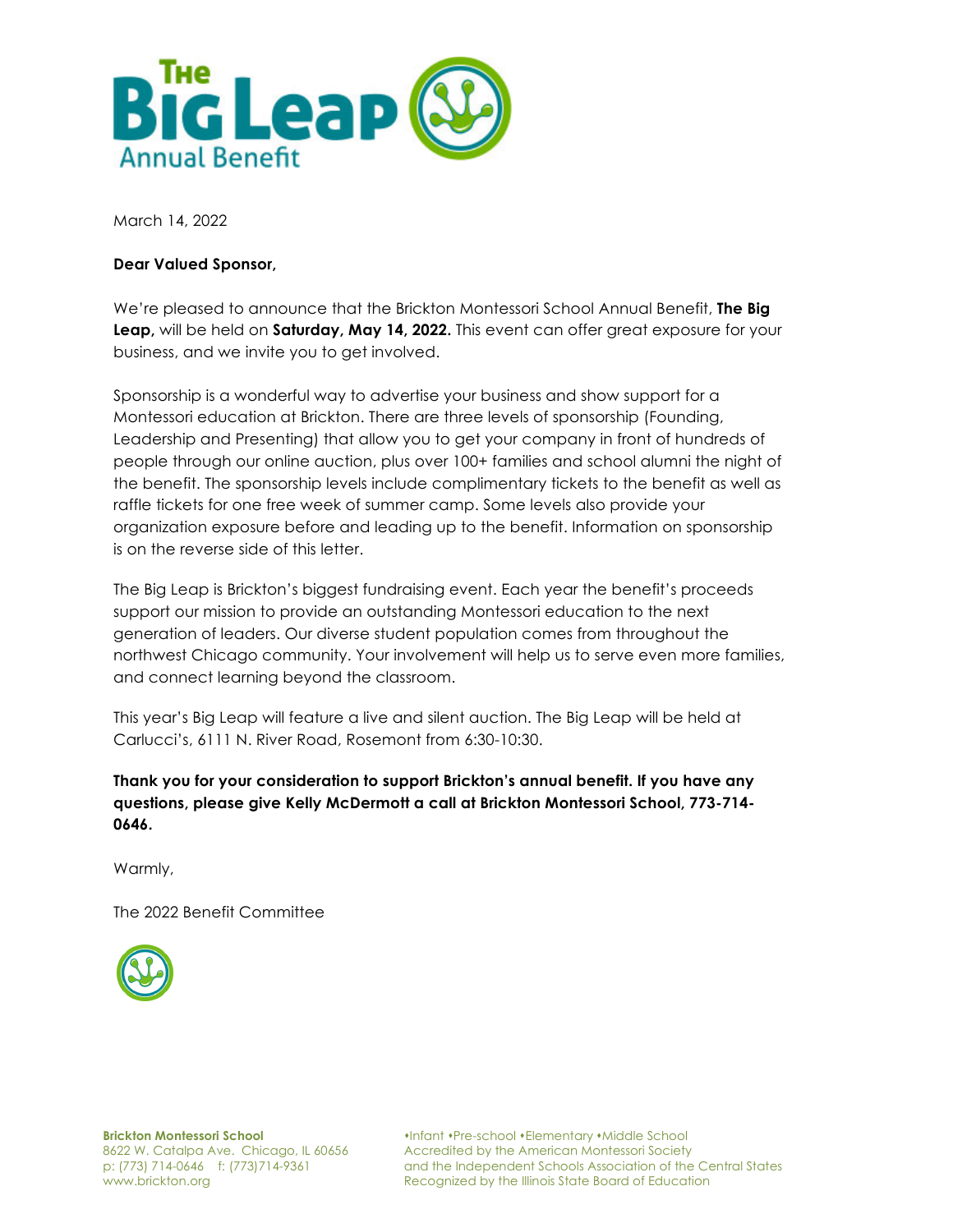

March 14, 2022

#### **Dear Valued Sponsor,**

We're pleased to announce that the Brickton Montessori School Annual Benefit, **The Big Leap,** will be held on **Saturday, May 14, 2022.** This event can offer great exposure for your business, and we invite you to get involved.

Sponsorship is a wonderful way to advertise your business and show support for a Montessori education at Brickton. There are three levels of sponsorship (Founding, Leadership and Presenting) that allow you to get your company in front of hundreds of people through our online auction, plus over 100+ families and school alumni the night of the benefit. The sponsorship levels include complimentary tickets to the benefit as well as raffle tickets for one free week of summer camp. Some levels also provide your organization exposure before and leading up to the benefit. Information on sponsorship is on the reverse side of this letter.

The Big Leap is Brickton's biggest fundraising event. Each year the benefit's proceeds support our mission to provide an outstanding Montessori education to the next generation of leaders. Our diverse student population comes from throughout the northwest Chicago community. Your involvement will help us to serve even more families, and connect learning beyond the classroom.

This year's Big Leap will feature a live and silent auction. The Big Leap will be held at Carlucci's, 6111 N. River Road, Rosemont from 6:30-10:30.

**Thank you for your consideration to support Brickton's annual benefit. If you have any questions, please give Kelly McDermott a call at Brickton Montessori School, 773-714- 0646.**

Warmly,

The 2022 Benefit Committee



**Brickton Montessori School** 8622 W. Catalpa Ave. Chicago, IL 60656 p: (773) 714-0646 f: (773)714-9361 www.brickton.org

sInfant sPre-school sElementary sMiddle School Accredited by the American Montessori Society and the Independent Schools Association of the Central States Recognized by the Illinois State Board of Education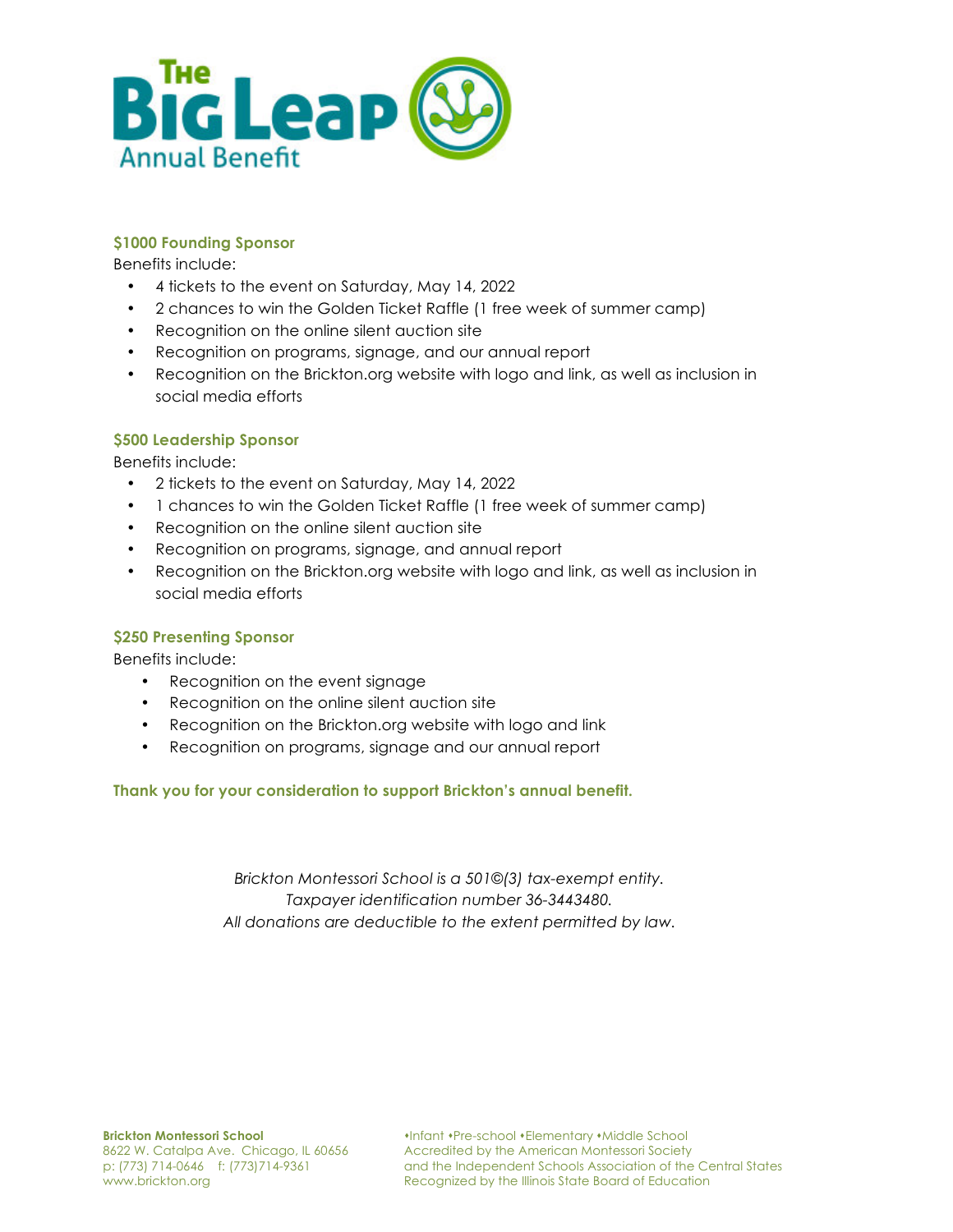

## **\$1000 Founding Sponsor**

Benefits include:

- 4 tickets to the event on Saturday, May 14, 2022
- 2 chances to win the Golden Ticket Raffle (1 free week of summer camp)
- Recognition on the online silent auction site
- Recognition on programs, signage, and our annual report
- Recognition on the Brickton.org website with logo and link, as well as inclusion in social media efforts

# **\$500 Leadership Sponsor**

Benefits include:

- 2 tickets to the event on Saturday, May 14, 2022
- 1 chances to win the Golden Ticket Raffle (1 free week of summer camp)
- Recognition on the online silent auction site
- Recognition on programs, signage, and annual report
- Recognition on the Brickton.org website with logo and link, as well as inclusion in social media efforts

## **\$250 Presenting Sponsor**

Benefits include:

- Recognition on the event signage
- Recognition on the online silent auction site
- Recognition on the Brickton.org website with logo and link
- Recognition on programs, signage and our annual report

## **Thank you for your consideration to support Brickton's annual benefit.**

*Brickton Montessori School is a 501©(3) tax-exempt entity. Taxpayer identification number 36-3443480. All donations are deductible to the extent permitted by law.*